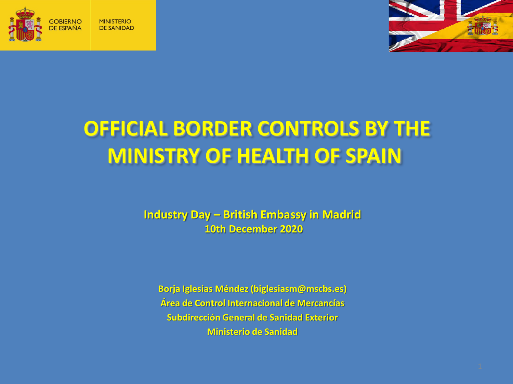



# **OFFICIAL BORDER CONTROLS BY THE MINISTRY OF HEALTH OF SPAIN**

**Industry Day – British Embassy in Madrid 10th December 2020**

**Borja Iglesias Méndez (biglesiasm@mscbs.es) Área de Control Internacional de Mercancías Subdirección General de Sanidad Exterior Ministerio de Sanidad**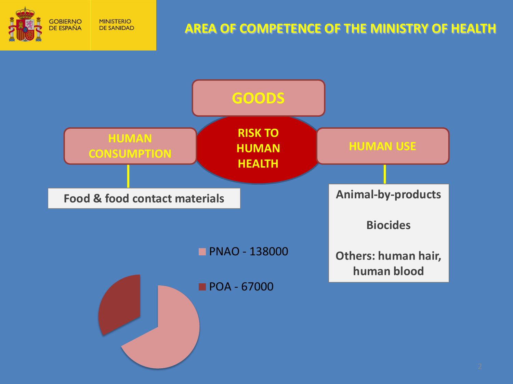

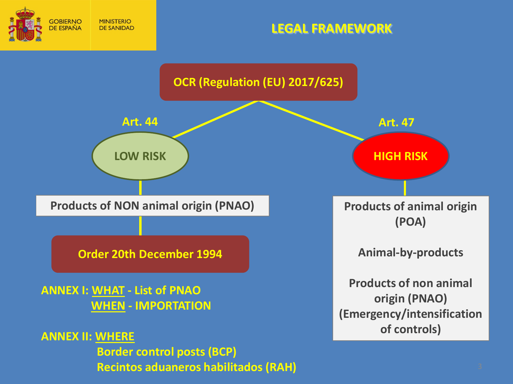

### **LEGAL FRAMEWORK**

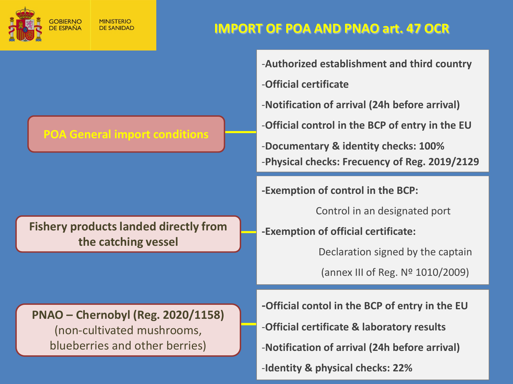

**MINISTERIO DE SANIDAD** 

## **IMPORT OF POA AND PNAO art. 47 OCR**

#### -**Authorized establishment and third country**

- -**Official certificate**
- -**Notification of arrival (24h before arrival)**
- -**Official control in the BCP of entry in the EU**

-**Documentary & identity checks: 100%** -**Physical checks: Frecuency of Reg. 2019/2129**

**-Exemption of control in the BCP:**

Control in an designated port

**-Exemption of official certificate:** 

Declaration signed by the captain

(annex III of Reg. Nº 1010/2009)

- **-Official contol in the BCP of entry in the EU** -**Official certificate & laboratory results** -**Notification of arrival (24h before arrival)**
	- -**Identity & physical checks: 22%**

### **POA General import conditions**

**Fishery products landed directly from the catching vessel**

**PNAO – Chernobyl (Reg. 2020/1158)** (non-cultivated mushrooms, blueberries and other berries)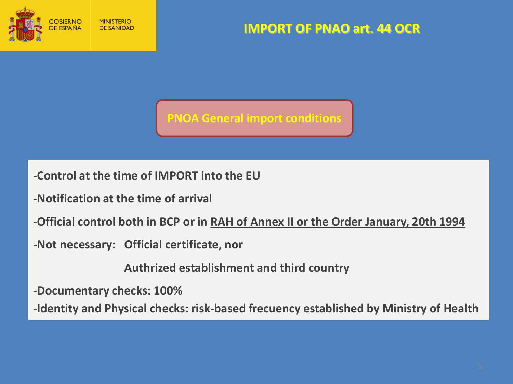

**IMPORT OF PNAO art. 44 OCR**

**PNOA General import conditions**

-**Control at the time of IMPORT into the EU**

- -**Notification at the time of arrival**
- -**Official control both in BCP or in RAH of Annex II or the Order January, 20th 1994**
- -**Not necessary: Official certificate, nor**

**Authrized establishment and third country**

-**Documentary checks: 100%**

-**Identity and Physical checks: risk-based frecuency established by Ministry of Health**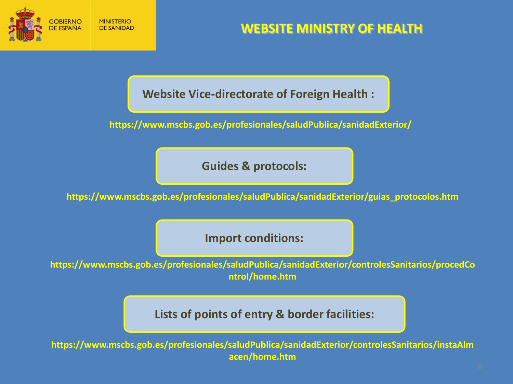

## **WEBSITE MINISTRY OF HEALTH**

**Website Vice-directorate of Foreign Health :**

**https://www.mscbs.gob.es/profesionales/saludPublica/sanidadExterior/**

**Guides & protocols:**

**https://www.mscbs.gob.es/profesionales/saludPublica/sanidadExterior/guias\_protocolos.htm**

**Import conditions:**

**https://www.mscbs.gob.es/profesionales/saludPublica/sanidadExterior/controlesSanitarios/procedCo ntrol/home.htm**

**Lists of points of entry & border facilities:**

**https://www.mscbs.gob.es/profesionales/saludPublica/sanidadExterior/controlesSanitarios/instaAlm acen/home.htm**